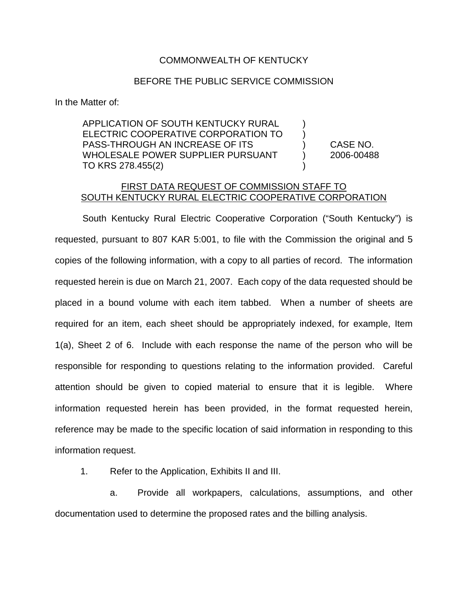## COMMONWEALTH OF KENTUCKY

## BEFORE THE PUBLIC SERVICE COMMISSION

In the Matter of:

APPLICATION OF SOUTH KENTUCKY RURAL ELECTRIC COOPERATIVE CORPORATION TO ) PASS-THROUGH AN INCREASE OF ITS ) CASE NO. WHOLESALE POWER SUPPLIER PURSUANT (2006-00488) TO KRS 278.455(2)

## FIRST DATA REQUEST OF COMMISSION STAFF TO SOUTH KENTUCKY RURAL ELECTRIC COOPERATIVE CORPORATION

South Kentucky Rural Electric Cooperative Corporation ("South Kentucky") is requested, pursuant to 807 KAR 5:001, to file with the Commission the original and 5 copies of the following information, with a copy to all parties of record. The information requested herein is due on March 21, 2007. Each copy of the data requested should be placed in a bound volume with each item tabbed. When a number of sheets are required for an item, each sheet should be appropriately indexed, for example, Item 1(a), Sheet 2 of 6. Include with each response the name of the person who will be responsible for responding to questions relating to the information provided. Careful attention should be given to copied material to ensure that it is legible. Where information requested herein has been provided, in the format requested herein, reference may be made to the specific location of said information in responding to this information request.

1. Refer to the Application, Exhibits II and III.

a. Provide all workpapers, calculations, assumptions, and other documentation used to determine the proposed rates and the billing analysis.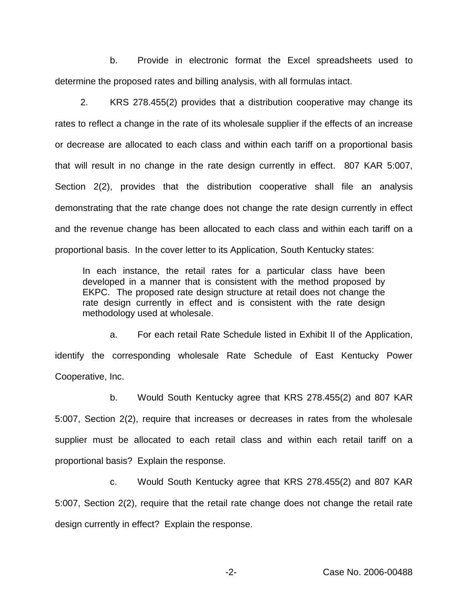b. Provide in electronic format the Excel spreadsheets used to determine the proposed rates and billing analysis, with all formulas intact.

2. KRS 278.455(2) provides that a distribution cooperative may change its rates to reflect a change in the rate of its wholesale supplier if the effects of an increase or decrease are allocated to each class and within each tariff on a proportional basis that will result in no change in the rate design currently in effect. 807 KAR 5:007, Section 2(2), provides that the distribution cooperative shall file an analysis demonstrating that the rate change does not change the rate design currently in effect and the revenue change has been allocated to each class and within each tariff on a proportional basis. In the cover letter to its Application, South Kentucky states:

In each instance, the retail rates for a particular class have been developed in a manner that is consistent with the method proposed by EKPC. The proposed rate design structure at retail does not change the rate design currently in effect and is consistent with the rate design methodology used at wholesale.

a. For each retail Rate Schedule listed in Exhibit II of the Application, identify the corresponding wholesale Rate Schedule of East Kentucky Power Cooperative, Inc.

b. Would South Kentucky agree that KRS 278.455(2) and 807 KAR 5:007, Section 2(2), require that increases or decreases in rates from the wholesale supplier must be allocated to each retail class and within each retail tariff on a proportional basis? Explain the response.

c. Would South Kentucky agree that KRS 278.455(2) and 807 KAR 5:007, Section 2(2), require that the retail rate change does not change the retail rate design currently in effect? Explain the response.